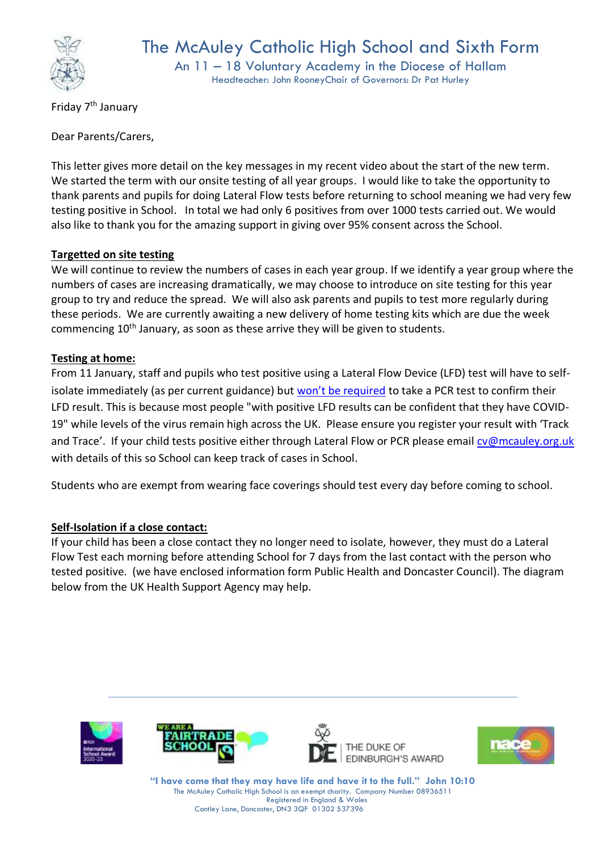

An 11 – 18 Voluntary Academy in the Diocese of Hallam Headteacher: John RooneyChair of Governors: Dr Pat Hurley

Friday 7th January

Dear Parents/Carers,

This letter gives more detail on the key messages in my recent video about the start of the new term. We started the term with our onsite testing of all year groups. I would like to take the opportunity to thank parents and pupils for doing Lateral Flow tests before returning to school meaning we had very few testing positive in School. In total we had only 6 positives from over 1000 tests carried out. We would also like to thank you for the amazing support in giving over 95% consent across the School.

# **Targetted on site testing**

We will continue to review the numbers of cases in each year group. If we identify a year group where the numbers of cases are increasing dramatically, we may choose to introduce on site testing for this year group to try and reduce the spread. We will also ask parents and pupils to test more regularly during these periods. We are currently awaiting a new delivery of home testing kits which are due the week commencing 10<sup>th</sup> January, as soon as these arrive they will be given to students.

## **Testing at home:**

From 11 January, staff and pupils who test positive using a Lateral Flow Device (LFD) test will have to selfisolate immediately (as per current guidance) but [won't be required](https://www.gov.uk/government/news/confirmatory-pcr-tests-to-be-temporarily-suspended-for-positive-lateral-flow-test-results) to take a PCR test to confirm their LFD result. This is because most people "with positive LFD results can be confident that they have COVID-19" while levels of the virus remain high across the UK. Please ensure you register your result with 'Track and Trace'. If your child tests positive either through Lateral Flow or PCR please email [cv@mcauley.org.uk](mailto:cv@mcauley.org.uk) with details of this so School can keep track of cases in School.

Students who are exempt from wearing face coverings should test every day before coming to school.

## **Self-Isolation if a close contact:**

If your child has been a close contact they no longer need to isolate, however, they must do a Lateral Flow Test each morning before attending School for 7 days from the last contact with the person who tested positive. (we have enclosed information form Public Health and Doncaster Council). The diagram below from the UK Health Support Agency may help.









**"I have come that they may have life and have it to the full." John 10:10** The McAuley Catholic High School is an exempt charity. Company Number 08936511 Registered in England & Wales Cantley Lane, Doncaster, DN3 3QF 01302 537396

**\_\_\_\_\_\_\_\_\_\_\_\_\_\_\_\_\_\_\_\_\_\_\_\_\_\_\_\_\_\_\_\_\_\_\_\_\_\_\_\_\_\_\_\_\_\_\_\_\_\_\_\_\_\_\_\_\_\_\_\_\_\_\_\_\_\_\_\_\_\_\_\_\_\_\_\_\_**